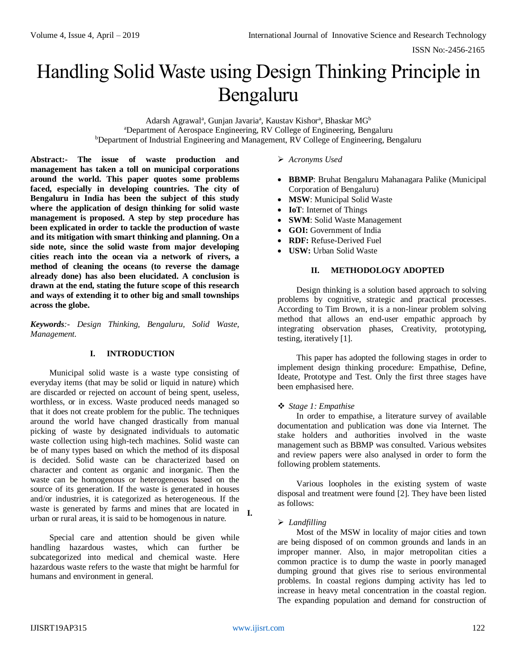# Handling Solid Waste using Design Thinking Principle in Bengaluru

Adarsh Agrawal<sup>a</sup>, Gunjan Javaria<sup>a</sup>, Kaustav Kishor<sup>a</sup>, Bhaskar MG<sup>b</sup> <sup>a</sup>Department of Aerospace Engineering, RV College of Engineering, Bengaluru <sup>b</sup>Department of Industrial Engineering and Management, RV College of Engineering, Bengaluru

**Abstract:- The issue of waste production and management has taken a toll on municipal corporations around the world. This paper quotes some problems faced, especially in developing countries. The city of Bengaluru in India has been the subject of this study where the application of design thinking for solid waste management is proposed. A step by step procedure has been explicated in order to tackle the production of waste and its mitigation with smart thinking and planning. On a side note, since the solid waste from major developing cities reach into the ocean via a network of rivers, a method of cleaning the oceans (to reverse the damage already done) has also been elucidated. A conclusion is drawn at the end, stating the future scope of this research and ways of extending it to other big and small townships across the globe.**

*Keywords:- Design Thinking, Bengaluru, Solid Waste, Management.*

### **I. INTRODUCTION**

Municipal solid waste is a waste type consisting of everyday items (that may be solid or liquid in nature) which are discarded or rejected on account of being spent, useless, worthless, or in excess. Waste produced needs managed so that it does not create problem for the public. The techniques around the world have changed drastically from manual picking of waste by designated individuals to automatic waste collection using high-tech machines. Solid waste can be of many types based on which the method of its disposal is decided. Solid waste can be characterized based on character and content as organic and inorganic. Then the waste can be homogenous or heterogeneous based on the source of its generation. If the waste is generated in houses and/or industries, it is categorized as heterogeneous. If the waste is generated by farms and mines that are located in **I.** urban or rural areas, it is said to be homogenous in nature.

Special care and attention should be given while handling hazardous wastes, which can further be subcategorized into medical and chemical waste. Here hazardous waste refers to the waste that might be harmful for humans and environment in general.

### *Acronyms Used*

- **BBMP**: Bruhat Bengaluru Mahanagara Palike (Municipal Corporation of Bengaluru)
- **MSW**: Municipal Solid Waste
- **IoT**: Internet of Things
- **SWM**: Solid Waste Management
- **GOI:** Government of India
- **RDF:** Refuse-Derived Fuel
- **USW:** Urban Solid Waste

### **II. METHODOLOGY ADOPTED**

Design thinking is a solution based approach to solving problems by cognitive, strategic and practical processes. According to Tim Brown, it is a non-linear problem solving method that allows an end-user empathic approach by integrating observation phases, Creativity, prototyping, testing, iteratively [1].

This paper has adopted the following stages in order to implement design thinking procedure: Empathise, Define, Ideate, Prototype and Test. Only the first three stages have been emphasised here.

### *Stage 1: Empathise*

In order to empathise, a literature survey of available documentation and publication was done via Internet. The stake holders and authorities involved in the waste management such as BBMP was consulted. Various websites and review papers were also analysed in order to form the following problem statements.

Various loopholes in the existing system of waste disposal and treatment were found [2]. They have been listed as follows:

### *Landfilling*

Most of the MSW in locality of major cities and town are being disposed of on common grounds and lands in an improper manner. Also, in major metropolitan cities a common practice is to dump the waste in poorly managed dumping ground that gives rise to serious environmental problems. In coastal regions dumping activity has led to increase in heavy metal concentration in the coastal region. The expanding population and demand for construction of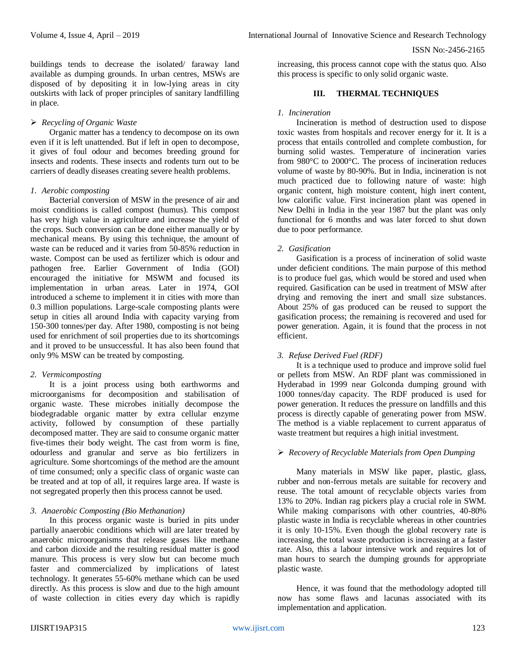buildings tends to decrease the isolated/ faraway land available as dumping grounds. In urban centres, MSWs are disposed of by depositing it in low-lying areas in city outskirts with lack of proper principles of sanitary landfilling in place.

### *Recycling of Organic Waste*

Organic matter has a tendency to decompose on its own even if it is left unattended. But if left in open to decompose, it gives of foul odour and becomes breeding ground for insects and rodents. These insects and rodents turn out to be carriers of deadly diseases creating severe health problems.

#### *1. Aerobic composting*

Bacterial conversion of MSW in the presence of air and moist conditions is called compost (humus). This compost has very high value in agriculture and increase the yield of the crops. Such conversion can be done either manually or by mechanical means. By using this technique, the amount of waste can be reduced and it varies from 50-85% reduction in waste. Compost can be used as fertilizer which is odour and pathogen free. Earlier Government of India (GOI) encouraged the initiative for MSWM and focused its implementation in urban areas. Later in 1974, GOI introduced a scheme to implement it in cities with more than 0.3 million populations. Large-scale composting plants were setup in cities all around India with capacity varying from 150-300 tonnes/per day. After 1980, composting is not being used for enrichment of soil properties due to its shortcomings and it proved to be unsuccessful. It has also been found that only 9% MSW can be treated by composting.

### *2. Vermicomposting*

It is a joint process using both earthworms and microorganisms for decomposition and stabilisation of organic waste. These microbes initially decompose the biodegradable organic matter by extra cellular enzyme activity, followed by consumption of these partially decomposed matter. They are said to consume organic matter five-times their body weight. The cast from worm is fine, odourless and granular and serve as bio fertilizers in agriculture. Some shortcomings of the method are the amount of time consumed; only a specific class of organic waste can be treated and at top of all, it requires large area. If waste is not segregated properly then this process cannot be used.

### *3. Anaerobic Composting (Bio Methanation)*

In this process organic waste is buried in pits under partially anaerobic conditions which will are later treated by anaerobic microorganisms that release gases like methane and carbon dioxide and the resulting residual matter is good manure. This process is very slow but can become much faster and commercialized by implications of latest technology. It generates 55-60% methane which can be used directly. As this process is slow and due to the high amount of waste collection in cities every day which is rapidly

increasing, this process cannot cope with the status quo. Also this process is specific to only solid organic waste.

## **III. THERMAL TECHNIQUES**

#### *1. Incineration*

Incineration is method of destruction used to dispose toxic wastes from hospitals and recover energy for it. It is a process that entails controlled and complete combustion, for burning solid wastes. Temperature of incineration varies from 980°C to 2000°C. The process of incineration reduces volume of waste by 80-90%. But in India, incineration is not much practiced due to following nature of waste: high organic content, high moisture content, high inert content, low calorific value. First incineration plant was opened in New Delhi in India in the year 1987 but the plant was only functional for 6 months and was later forced to shut down due to poor performance.

### *2. Gasification*

Gasification is a process of incineration of solid waste under deficient conditions. The main purpose of this method is to produce fuel gas, which would be stored and used when required. Gasification can be used in treatment of MSW after drying and removing the inert and small size substances. About 25% of gas produced can be reused to support the gasification process; the remaining is recovered and used for power generation. Again, it is found that the process in not efficient.

### *3. Refuse Derived Fuel (RDF)*

It is a technique used to produce and improve solid fuel or pellets from MSW. An RDF plant was commissioned in Hyderabad in 1999 near Golconda dumping ground with 1000 tonnes/day capacity. The RDF produced is used for power generation. It reduces the pressure on landfills and this process is directly capable of generating power from MSW. The method is a viable replacement to current apparatus of waste treatment but requires a high initial investment.

### *Recovery of Recyclable Materials from Open Dumping*

Many materials in MSW like paper, plastic, glass, rubber and non-ferrous metals are suitable for recovery and reuse. The total amount of recyclable objects varies from 13% to 20%. Indian rag pickers play a crucial role in SWM. While making comparisons with other countries, 40-80% plastic waste in India is recyclable whereas in other countries it is only 10-15%. Even though the global recovery rate is increasing, the total waste production is increasing at a faster rate. Also, this a labour intensive work and requires lot of man hours to search the dumping grounds for appropriate plastic waste.

Hence, it was found that the methodology adopted till now has some flaws and lacunas associated with its implementation and application.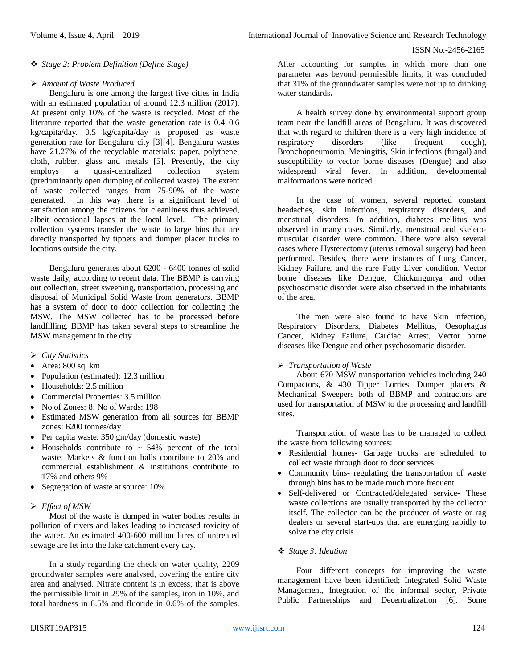## *Stage 2: Problem Definition (Define Stage)*

## *Amount of Waste Produced*

Bengaluru is one among the largest five cities in India with an estimated population of around 12.3 million (2017). At present only 10% of the waste is recycled. Most of the literature reported that the waste generation rate is 0.4–0.6 kg/capita/day. 0.5 kg/capita/day is proposed as waste generation rate for Bengaluru city [3][4]. Bengaluru wastes have 21.27% of the recyclable materials: paper, polythene, cloth, rubber, glass and metals [5]. Presently, the city employs a quasi-centralized collection system (predominantly open dumping of collected waste). The extent of waste collected ranges from 75-90% of the waste generated. In this way there is a significant level of satisfaction among the citizens for cleanliness thus achieved, albeit occasional lapses at the local level. The primary collection systems transfer the waste to large bins that are directly transported by tippers and dumper placer trucks to locations outside the city.

Bengaluru generates about 6200 - 6400 tonnes of solid waste daily, according to recent data. The BBMP is carrying out collection, street sweeping, transportation, processing and disposal of Municipal Solid Waste from generators. BBMP has a system of door to door collection for collecting the MSW. The MSW collected has to be processed before landfilling. BBMP has taken several steps to streamline the MSW management in the city

- *City Statistics*
- Area: 800 sq. km
- Population (estimated): 12.3 million
- Households: 2.5 million
- Commercial Properties: 3.5 million
- No of Zones: 8; No of Wards: 198
- Estimated MSW generation from all sources for BBMP zones: 6200 tonnes/day
- Per capita waste: 350 gm/day (domestic waste)
- Households contribute to  $\sim$  54% percent of the total waste; Markets & function halls contribute to 20% and commercial establishment & institutions contribute to 17% and others 9%
- Segregation of waste at source: 10%

# *Effect of MSW*

Most of the waste is dumped in water bodies results in pollution of rivers and lakes leading to increased toxicity of the water. An estimated 400-600 million litres of untreated sewage are let into the lake catchment every day.

In a study regarding the check on water quality, 2209 groundwater samples were analysed, covering the entire city area and analysed. Nitrate content is in excess, that is above the permissible limit in 29% of the samples, iron in 10%, and total hardness in 8.5% and fluoride in 0.6% of the samples.

A health survey done by environmental support group team near the landfill areas of Bengaluru. It was discovered that with regard to children there is a very high incidence of respiratory disorders (like frequent cough), Bronchopneumonia, Meningitis, Skin infections (fungal) and susceptibility to vector borne diseases (Dengue) and also widespread viral fever. In addition, developmental malformations were noticed.

In the case of women, several reported constant headaches, skin infections, respiratory disorders, and menstrual disorders. In addition, diabetes mellitus was observed in many cases. Similarly, menstrual and skeletomuscular disorder were common. There were also several cases where Hysterectomy (uterus removal surgery) had been performed. Besides, there were instances of Lung Cancer, Kidney Failure, and the rare Fatty Liver condition. Vector borne diseases like Dengue, Chickungunya and other psychosomatic disorder were also observed in the inhabitants of the area.

The men were also found to have Skin Infection, Respiratory Disorders, Diabetes Mellitus, Oesophagus Cancer, Kidney Failure, Cardiac Arrest, Vector borne diseases like Dengue and other psychosomatic disorder.

# *Transportation of Waste*

About 670 MSW transportation vehicles including 240 Compactors, & 430 Tipper Lorries, Dumper placers & Mechanical Sweepers both of BBMP and contractors are used for transportation of MSW to the processing and landfill sites.

Transportation of waste has to be managed to collect the waste from following sources:

- Residential homes- Garbage trucks are scheduled to collect waste through door to door services
- Community bins- regulating the transportation of waste through bins has to be made much more frequent
- Self-delivered or Contracted/delegated service- These waste collections are usually transported by the collector itself. The collector can be the producer of waste or rag dealers or several start-ups that are emerging rapidly to solve the city crisis

## *Stage 3: Ideation*

Four different concepts for improving the waste management have been identified; Integrated Solid Waste Management, Integration of the informal sector, Private Public Partnerships and Decentralization [6]. Some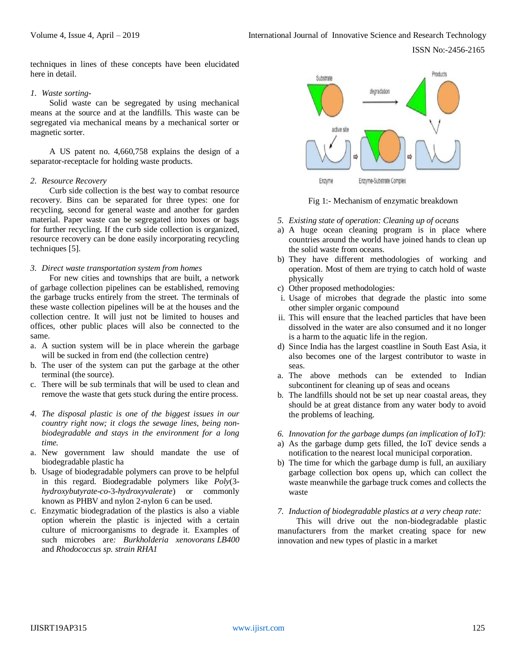ISSN No:-2456-2165

techniques in lines of these concepts have been elucidated here in detail.

#### *1. Waste sorting-*

Solid waste can be segregated by using mechanical means at the source and at the landfills. This waste can be segregated via mechanical means by a mechanical sorter or magnetic sorter.

A US patent no. 4,660,758 explains the design of a separator-receptacle for holding waste products.

### *2. Resource Recovery*

Curb side collection is the best way to combat resource recovery. Bins can be separated for three types: one for recycling, second for general waste and another for garden material. Paper waste can be segregated into boxes or bags for further recycling. If the curb side collection is organized, resource recovery can be done easily incorporating recycling techniques [5].

#### *3. Direct waste transportation system from homes*

For new cities and townships that are built, a network of garbage collection pipelines can be established, removing the garbage trucks entirely from the street. The terminals of these waste collection pipelines will be at the houses and the collection centre. It will just not be limited to houses and offices, other public places will also be connected to the same.

- a. A suction system will be in place wherein the garbage will be sucked in from end (the collection centre)
- b. The user of the system can put the garbage at the other terminal (the source).
- c. There will be sub terminals that will be used to clean and remove the waste that gets stuck during the entire process.
- *4. The disposal plastic is one of the biggest issues in our country right now; it clogs the sewage lines, being nonbiodegradable and stays in the environment for a long time.*
- a. New government law should mandate the use of biodegradable plastic ha
- b. Usage of biodegradable polymers can prove to be helpful in this regard. Biodegradable polymers like *Poly*(3 *hydroxybutyrate*-*co*-3-*hydroxyvalerate*) or commonly known as PHBV and nylon 2-nylon 6 can be used.
- c. Enzymatic biodegradation of the plastics is also a viable option wherein the plastic is injected with a certain culture of microorganisms to degrade it. Examples of such microbes are*: Burkholderia xenovorans LB400* and *Rhodococcus sp. strain RHA1*



Fig 1:- Mechanism of enzymatic breakdown

- *5. Existing state of operation: Cleaning up of oceans*
- a) A huge ocean cleaning program is in place where countries around the world have joined hands to clean up the solid waste from oceans.
- b) They have different methodologies of working and operation. Most of them are trying to catch hold of waste physically
- c) Other proposed methodologies:
- i. Usage of microbes that degrade the plastic into some other simpler organic compound
- ii. This will ensure that the leached particles that have been dissolved in the water are also consumed and it no longer is a harm to the aquatic life in the region.
- d) Since India has the largest coastline in South East Asia, it also becomes one of the largest contributor to waste in seas.
- a. The above methods can be extended to Indian subcontinent for cleaning up of seas and oceans
- b. The landfills should not be set up near coastal areas, they should be at great distance from any water body to avoid the problems of leaching.
- *6. Innovation for the garbage dumps (an implication of IoT):*
- a) As the garbage dump gets filled, the IoT device sends a notification to the nearest local municipal corporation.
- b) The time for which the garbage dump is full, an auxiliary garbage collection box opens up, which can collect the waste meanwhile the garbage truck comes and collects the waste
- *7. Induction of biodegradable plastics at a very cheap rate:*

This will drive out the non-biodegradable plastic manufacturers from the market creating space for new innovation and new types of plastic in a market